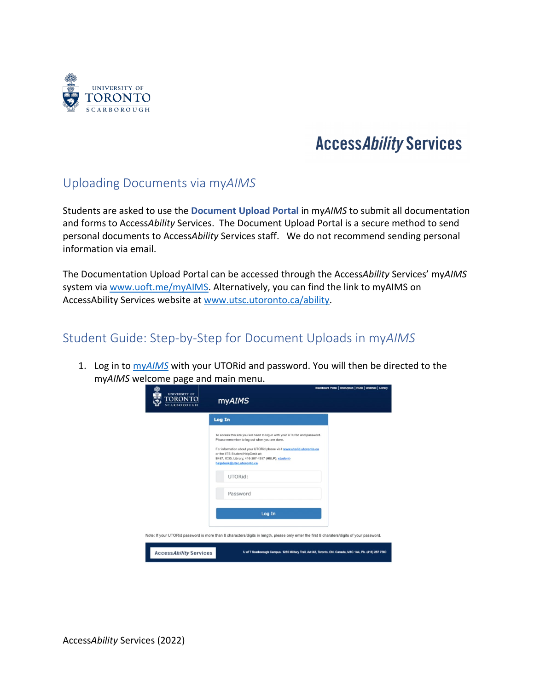

## **Access Ability Services**

## Uploading Documents via my*AIMS*

Students are asked to use the **Document Upload Portal** in my*AIMS* to submit all documentation and forms to Access*Ability* Services. The Document Upload Portal is a secure method to send personal documents to Access*Ability* Services staff. We do not recommend sending personal information via email.

The Documentation Upload Portal can be accessed through the Access*Ability* Services' my*AIMS*  system vi[a www.uoft.me/myAIMS.](http://www.uoft.me/myAIMS) Alternatively, you can find the link to myAIMS on AccessAbility Services website at [www.utsc.utoronto.ca/ability.](http://www.utsc.utoronto.ca/ability)

## Student Guide: Step-by-Step for Document Uploads in my*AIMS*

1. Log in to my*[AIMS](http://www.uoft.me/myaims)* with your UTORid and password. You will then be directed to the my*AIMS* welcome page and main menu.

| <b>UNIVERSITY OF</b><br>TORONTO<br><b>SCARBOROUGH</b>                                                                                      | <b>myAIMS</b>                                                                                                                                                                                                                                                                                                               | Blackboard Portal   WebOption   ROSI   Webmail   Library |  |  |
|--------------------------------------------------------------------------------------------------------------------------------------------|-----------------------------------------------------------------------------------------------------------------------------------------------------------------------------------------------------------------------------------------------------------------------------------------------------------------------------|----------------------------------------------------------|--|--|
|                                                                                                                                            | Log In                                                                                                                                                                                                                                                                                                                      |                                                          |  |  |
|                                                                                                                                            | To access this site you will need to log-in with your UTORid and password.<br>Please remember to log out when you are done.<br>For information about your UTORid please visit www.utorid.utoronto.ca<br>or the IITS Student HelpDesk at:<br>B487, IC35, Library; 416-287-4357 (HELP); student-<br>helpdesk@utsc.utoronto.ca |                                                          |  |  |
|                                                                                                                                            | UTORid:                                                                                                                                                                                                                                                                                                                     |                                                          |  |  |
|                                                                                                                                            | Password                                                                                                                                                                                                                                                                                                                    |                                                          |  |  |
|                                                                                                                                            | Log In                                                                                                                                                                                                                                                                                                                      |                                                          |  |  |
| Note: If your UTORid password is more than 8 characters/digits in length, please only enter the first 8 charaters/digits of your password. |                                                                                                                                                                                                                                                                                                                             |                                                          |  |  |
| <b>Access Ability Services</b>                                                                                                             | U of T Scarborough Campus. 1265 Military Trail, AA142, Toronto, ON. Canada, M1C 1A4, Ph. (416) 287 7560                                                                                                                                                                                                                     |                                                          |  |  |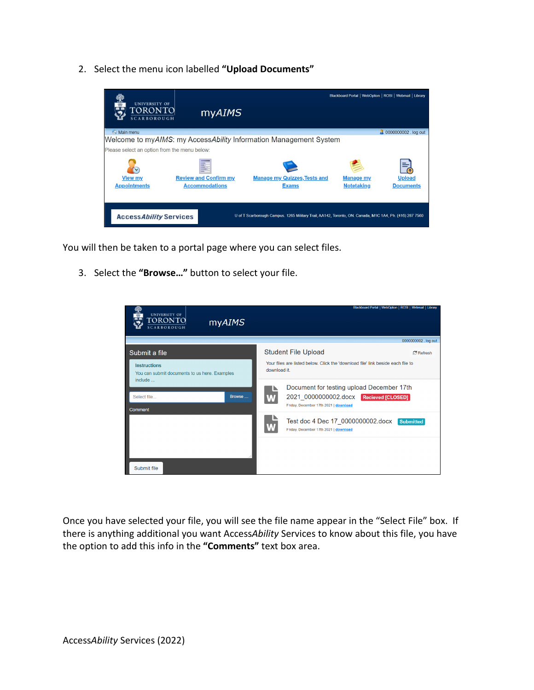2. Select the menu icon labelled **"Upload Documents"** 



You will then be taken to a portal page where you can select files.

3. Select the **"Browse…"** button to select your file.

| <b>UNIVERSITY OF</b><br>TORONTO<br>myAIMS<br><b>SCARBOROUGH</b>      | Blackboard Portal   WebOption   ROSI   Webmail   Library                                                                               |
|----------------------------------------------------------------------|----------------------------------------------------------------------------------------------------------------------------------------|
|                                                                      | 0000000002 . log out                                                                                                                   |
| Submit a file                                                        | <b>Student File Upload</b><br>$R$ Refresh                                                                                              |
| <b>Instructions</b><br>You can submit documents to us here. Examples | Your files are listed below. Click the 'download file' link beside each file to<br>download it.                                        |
| include<br>Select file<br>Browse<br>Comment                          | Document for testing upload December 17th<br>2021 0000000002.docx<br><b>Recieved [CLOSED]</b><br>Friday, December 17th 2021   download |
|                                                                      | Test doc 4 Dec 17 0000000002.docx<br><b>Submitted</b><br>Friday, December 17th 2021   download                                         |
|                                                                      |                                                                                                                                        |
| Submit file                                                          |                                                                                                                                        |

Once you have selected your file, you will see the file name appear in the "Select File" box. If there is anything additional you want Access*Ability* Services to know about this file, you have the option to add this info in the **"Comments"** text box area.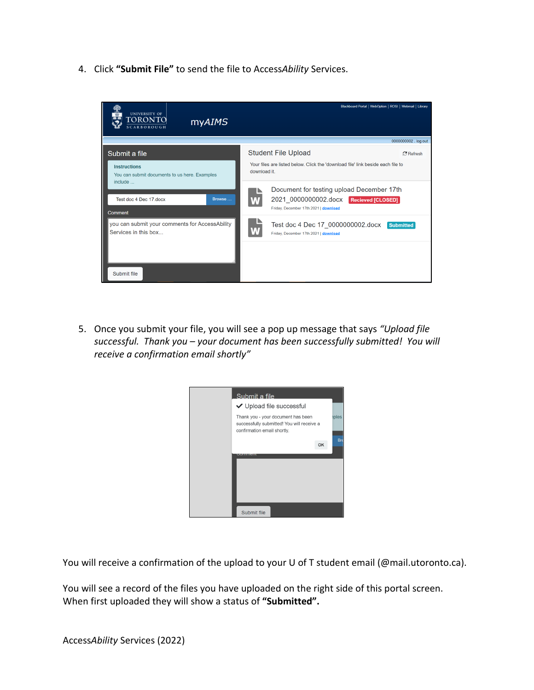4. Click **"Submit File"** to send the file to Access*Ability* Services.



5. Once you submit your file, you will see a pop up message that says *"Upload file successful. Thank you – your document has been successfully submitted! You will receive a confirmation email shortly"*



You will receive a confirmation of the upload to your U of T student email (@mail.utoronto.ca).

You will see a record of the files you have uploaded on the right side of this portal screen. When first uploaded they will show a status of **"Submitted".**